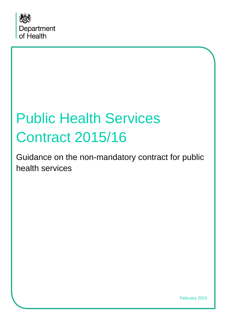

# Public Health Services Contract 2015/16

Guidance on the non-mandatory contract for public health services

February 2015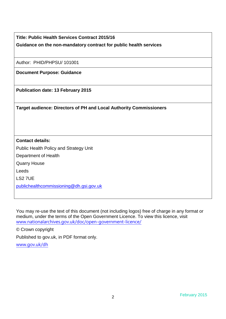|                                                                           | <b>Title: Public Health Services Contract 2015/16</b>             |
|---------------------------------------------------------------------------|-------------------------------------------------------------------|
|                                                                           | Guidance on the non-mandatory contract for public health services |
|                                                                           |                                                                   |
|                                                                           | Author: PHID/PHPSU/ 101001                                        |
|                                                                           | <b>Document Purpose: Guidance</b>                                 |
|                                                                           |                                                                   |
|                                                                           | <b>Publication date: 13 February 2015</b>                         |
|                                                                           |                                                                   |
| <b>Target audience: Directors of PH and Local Authority Commissioners</b> |                                                                   |
|                                                                           |                                                                   |
|                                                                           |                                                                   |
|                                                                           |                                                                   |
|                                                                           | <b>Contact details:</b>                                           |
|                                                                           | Public Health Policy and Strategy Unit                            |
|                                                                           | Department of Health                                              |
|                                                                           | <b>Quarry House</b>                                               |
|                                                                           | Leeds                                                             |
|                                                                           | $\sim$ $\sim$ $\sim$ $\sim$                                       |

LS2 7UE

 $\mathbf{I}$ 

[publichealthcommissioning@dh.gsi.gov.uk](mailto:publichealthcommissioning@dh.gsi.gov.uk)

You may re-use the text of this document (not including logos) free of charge in any format or medium, under the terms of the Open Government Licence. To view this licence, visit [www.nationalarchives.gov.uk/doc/open-government-licence/](http://www.nationalarchives.gov.uk/doc/open-government-licence/)

© Crown copyright

Published to gov.uk, in PDF format only.

[www.gov.uk/dh](http://www.gov.uk/dh)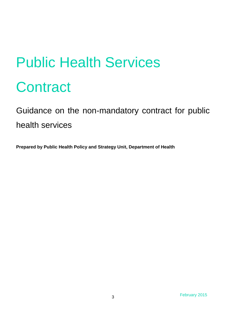# Public Health Services **Contract**

# Guidance on the non-mandatory contract for public health services

**Prepared by Public Health Policy and Strategy Unit, Department of Health**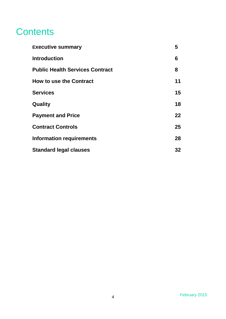## **Contents**

| <b>Executive summary</b>               | 5       |
|----------------------------------------|---------|
| <b>Introduction</b>                    | 6       |
| <b>Public Health Services Contract</b> | 8       |
| <b>How to use the Contract</b>         | 11      |
| <b>Services</b>                        | 15      |
| Quality                                | 18      |
| <b>Payment and Price</b>               | $22 \,$ |
| <b>Contract Controls</b>               | $25\,$  |
| <b>Information requirements</b>        | 28      |
| <b>Standard legal clauses</b>          | 32      |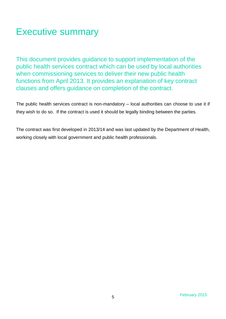# Executive summary

This document provides guidance to support implementation of the public health services contract which can be used by local authorities when commissioning services to deliver their new public health functions from April 2013. It provides an explanation of key contract clauses and offers guidance on completion of the contract.

The public health services contract is non-mandatory – local authorities can choose to use it if they wish to do so. If the contract is used it should be legally binding between the parties.

The contract was first developed in 2013/14 and was last updated by the Department of Health, working closely with local government and public health professionals.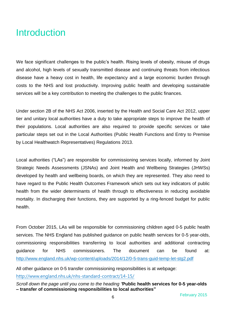## **Introduction**

We face significant challenges to the public's health. Rising levels of obesity, misuse of drugs and alcohol, high levels of sexually transmitted disease and continuing threats from infectious disease have a heavy cost in health, life expectancy and a large economic burden through costs to the NHS and lost productivity. Improving public health and developing sustainable services will be a key contribution to meeting the challenges to the public finances.

Under section 2B of the NHS Act 2006, inserted by the Health and Social Care Act 2012, upper tier and unitary local authorities have a duty to take appropriate steps to improve the health of their populations. Local authorities are also required to provide specific services or take particular steps set out in the Local Authorities (Public Health Functions and Entry to Premise by Local Healthwatch Representatives) Regulations 2013.

Local authorities ("LAs") are responsible for commissioning services locally, informed by Joint Strategic Needs Assessments (JSNAs) and Joint Health and Wellbeing Strategies (JHWSs) developed by health and wellbeing boards, on which they are represented. They also need to have regard to the Public Health Outcomes Framework which sets out key indicators of public health from the wider determinants of health through to effectiveness in reducing avoidable mortality. In discharging their functions, they are supported by a ring-fenced budget for public health.

From October 2015, LAs will be responsible for commissioning children aged 0-5 public health services. The NHS England has published guidance on public health services for 0-5 year-olds, commissioning responsibilities transferring to local authorities and additional contracting guidance for NHS commissioners. The document can be found at: <http://www.england.nhs.uk/wp-content/uploads/2014/12/0-5-trans-guid-temp-let-stg2.pdf>

All other guidance on 0-5 transfer commissioning responsibilities is at webpage: <http://www.england.nhs.uk/nhs-standard-contract/14-15/>

*Scroll down the page until you come to the heading "***Public health services for 0-5 year-olds – transfer of commissioning responsibilities to local authorities"**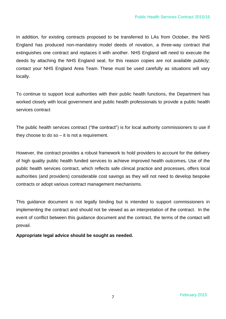In addition, for existing contracts proposed to be transferred to LAs from October, the NHS England has produced non-mandatory model deeds of novation, a three-way contract that extinguishes one contract and replaces it with another. NHS England will need to execute the deeds by attaching the NHS England seal, for this reason copies are not available publicly; contact your NHS England Area Team. These must be used carefully as situations will vary locally.

To continue to support local authorities with their public health functions, the Department has worked closely with local government and public health professionals to provide a public health services contract

The public health services contract ("the contract") is for local authority commissioners to use if they choose to do so – it is not a requirement.

However, the contract provides a robust framework to hold providers to account for the delivery of high quality public health funded services to achieve improved health outcomes**.** Use of the public health services contract, which reflects safe clinical practice and processes, offers local authorities (and providers) considerable cost savings as they will not need to develop bespoke contracts or adopt various contract management mechanisms.

This guidance document is not legally binding but is intended to support commissioners in implementing the contract and should not be viewed as an interpretation of the contract. In the event of conflict between this guidance document and the contract, the terms of the contact will prevail.

**Appropriate legal advice should be sought as needed.**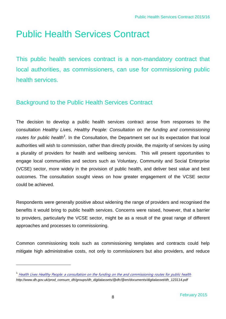# Public Health Services Contract

This public health services contract is a non-mandatory contract that local authorities, as commissioners, can use for commissioning public health services.

## Background to the Public Health Services Contract

The decision to develop a public health services contract arose from responses to the consultation *Healthy Lives, Healthy People: Consultation on the funding and commissioning*  routes for public health<sup>1</sup>. In the Consultation, the Department set out its expectation that local authorities will wish to commission, rather than directly provide, the majority of services by using a plurality of providers for health and wellbeing services. This will present opportunities to engage local communities and sectors such as Voluntary, Community and Social Enterprise (VCSE) sector, more widely in the provision of public health, and deliver best value and best outcomes. The consultation sought views on how greater engagement of the VCSE sector could be achieved.

Respondents were generally positive about widening the range of providers and recognised the benefits it would bring to public health services. Concerns were raised, however, that a barrier to providers, particularly the VCSE sector, might be as a result of the great range of different approaches and processes to commissioning.

Common commissioning tools such as commissioning templates and contracts could help mitigate high administrative costs, not only to commissioners but also providers, and reduce

l

<sup>&</sup>lt;sup>1</sup> [Health Lives Healthy People: a consultation on the funding on the and commissioning routes for public health](http://www.dh.gov.uk/en/Consultations/Liveconsultations/DH_122916) *http://www.dh.gov.uk/prod\_consum\_dh/groups/dh\_digitalassets/@dh/@en/documents/digitalasset/dh\_123114.pdf*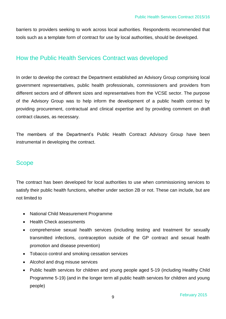barriers to providers seeking to work across local authorities. Respondents recommended that tools such as a template form of contract for use by local authorities, should be developed.

#### How the Public Health Services Contract was developed

In order to develop the contract the Department established an Advisory Group comprising local government representatives, public health professionals, commissioners and providers from different sectors and of different sizes and representatives from the VCSE sector. The purpose of the Advisory Group was to help inform the development of a public health contract by providing procurement, contractual and clinical expertise and by providing comment on draft contract clauses, as necessary.

The members of the Department's Public Health Contract Advisory Group have been instrumental in developing the contract.

#### **Scope**

The contract has been developed for local authorities to use when commissioning services to satisfy their public health functions, whether under section 2B or not. These can include, but are not limited to

- National Child Measurement Programme
- Health Check assessments
- comprehensive sexual health services (including testing and treatment for sexually transmitted infections, contraception outside of the GP contract and sexual health promotion and disease prevention)
- Tobacco control and smoking cessation services
- Alcohol and drug misuse services
- Public health services for children and young people aged 5-19 (including Healthy Child Programme 5-19) (and in the longer term all public health services for children and young people)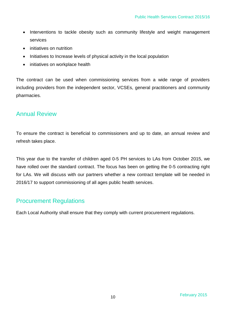- Interventions to tackle obesity such as community lifestyle and weight management services
- initiatives on nutrition
- Initiatives to Increase levels of physical activity in the local population
- initiatives on workplace health

The contract can be used when commissioning services from a wide range of providers including providers from the independent sector, VCSEs, general practitioners and community pharmacies.

#### Annual Review

To ensure the contract is beneficial to commissioners and up to date, an annual review and refresh takes place.

This year due to the transfer of children aged 0-5 PH services to LAs from October 2015, we have rolled over the standard contract. The focus has been on getting the 0-5 contracting right for LAs. We will discuss with our partners whether a new contract template will be needed in 2016/17 to support commissioning of all ages public health services.

#### Procurement Regulations

Each Local Authority shall ensure that they comply with current procurement regulations.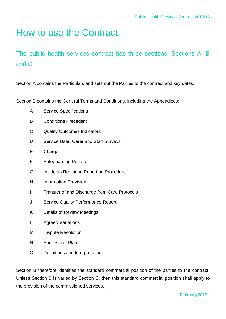# How to use the Contract

## The public health services contract has three sections, Sections A, B and C

Section A contains the Particulars and sets out the Parties to the contract and key dates.

Section B contains the General Terms and Conditions, including the Appendices:

- A Service Specifications
- B Conditions Precedent
- C Quality Outcomes Indicators
- D Service User, Carer and Staff Surveys
- E Charges
- F Safeguarding Policies
- G Incidents Requiring Reporting Procedure
- H Information Provision
- I Transfer of and Discharge from Care Protocols
- J Service Quality Performance Report
- K Details of Review Meetings
- L Agreed Variations
- M Dispute Resolution
- N Succession Plan
- O Definitions and Interpretation

Section B therefore identifies the standard commercial position of the parties to the contract. Unless Section B is varied by Section C, then this standard commercial position shall apply to the provision of the commissioned services.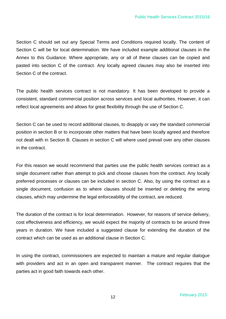Section C should set out any Special Terms and Conditions required locally. The content of Section C will be for local determination. We have included example additional clauses in the Annex to this Guidance. Where appropriate, any or all of these clauses can be copied and pasted into section C of the contract. Any locally agreed clauses may also be inserted into Section C of the contract.

The public health services contract is not mandatory. It has been developed to provide a consistent, standard commercial position across services and local authorities. However, it can reflect local agreements and allows for great flexibility through the use of Section C.

Section C can be used to record additional clauses, to disapply or vary the standard commercial position in section B or to incorporate other matters that have been locally agreed and therefore not dealt with in Section B. Clauses in section C will where used prevail over any other clauses in the contract.

For this reason we would recommend that parties use the public health services contract as a single document rather than attempt to pick and choose clauses from the contract. Any locally preferred processes or clauses can be included in section C. Also, by using the contract as a single document, confusion as to where clauses should be inserted or deleting the wrong clauses, which may undermine the legal enforceability of the contract, are reduced.

The duration of the contract is for local determination. However, for reasons of service delivery, cost effectiveness and efficiency, we would expect the majority of contracts to be around three years in duration. We have included a suggested clause for extending the duration of the contract which can be used as an additional clause in Section C.

In using the contract, commissioners are expected to maintain a mature and regular dialogue with providers and act in an open and transparent manner. The contract requires that the parties act in good faith towards each other.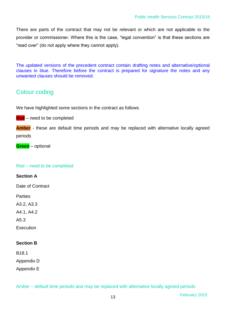There are parts of the contract that may not be relevant or which are not applicable to the provider or commissioner. Where this is the case, "legal convention" is that these sections are "read over" (do not apply where they cannot apply).

The updated versions of the precedent contract contain drafting notes and alternative/optional clauses in blue. Therefore before the contract is prepared for signature the notes and any unwanted clauses should be removed.

## Colour coding

We have highlighted some sections in the contract as follows

**Red** – need to be completed

**Amber** - these are default time periods and may be replaced with alternative locally agreed periods

**Green** – optional

#### Red – need to be completed

**Section A** 

Date of Contract

**Parties** 

A3.2, A3.3

A4.1, A4.2

A5.3

Execution

#### **Section B**

B18.1

Appendix D

Appendix E

Amber – default time periods and may be replaced with alternative locally agreed periods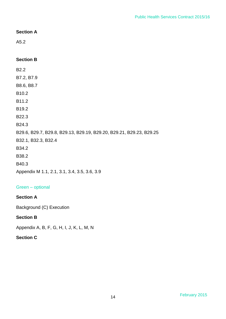#### **Section A**

A5.2

#### **Section B**

B2.2 B7.2, B7.9 B8.6, B8.7 B10.2 B11.2 B19.2 B22.3 B24.3 B29.6, B29.7, B29.8, B29.13, B29.19, B29.20, B29.21, B29.23, B29.25 B32.1, B32.3, B32.4 B34.2 B38.2 B40.3

Appendix M 1.1, 2.1, 3.1, 3.4, 3.5, 3.6, 3.9

#### Green – optional

#### **Section A**

Background (C) Execution

#### **Section B**

Appendix A, B, F, G, H, I, J, K, L, M, N

#### **Section C**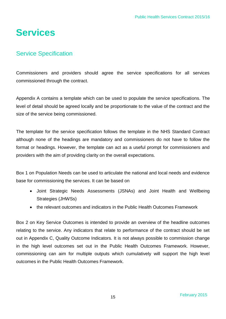# **Services**

#### Service Specification

Commissioners and providers should agree the service specifications for all services commissioned through the contract.

Appendix A contains a template which can be used to populate the service specifications. The level of detail should be agreed locally and be proportionate to the value of the contract and the size of the service being commissioned.

The template for the service specification follows the template in the NHS Standard Contract although none of the headings are mandatory and commissioners do not have to follow the format or headings. However, the template can act as a useful prompt for commissioners and providers with the aim of providing clarity on the overall expectations.

Box 1 on Population Needs can be used to articulate the national and local needs and evidence base for commissioning the services. It can be based on

- Joint Strategic Needs Assessments (JSNAs) and Joint Health and Wellbeing Strategies (JHWSs)
- the relevant outcomes and indicators in the Public Health Outcomes Framework

Box 2 on Key Service Outcomes is intended to provide an overview of the headline outcomes relating to the service. Any indicators that relate to performance of the contract should be set out in Appendix C, Quality Outcome Indicators. It is not always possible to commission change in the high level outcomes set out in the Public Health Outcomes Framework. However, commissioning can aim for multiple outputs which cumulatively will support the high level outcomes in the Public Health Outcomes Framework.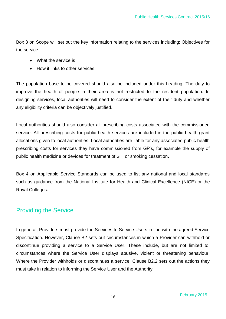Box 3 on Scope will set out the key information relating to the services including: Objectives for the service

- What the service is
- How it links to other services

The population base to be covered should also be included under this heading. The duty to improve the health of people in their area is not restricted to the resident population. In designing services, local authorities will need to consider the extent of their duty and whether any eligibility criteria can be objectively justified.

Local authorities should also consider all prescribing costs associated with the commissioned service. All prescribing costs for public health services are included in the public health grant allocations given to local authorities. Local authorities are liable for any associated public health prescribing costs for services they have commissioned from GP's, for example the supply of public health medicine or devices for treatment of STI or smoking cessation.

Box 4 on Applicable Service Standards can be used to list any national and local standards such as guidance from the National Institute for Health and Clinical Excellence (NICE) or the Royal Colleges.

#### Providing the Service

In general, Providers must provide the Services to Service Users in line with the agreed Service Specification. However, Clause B2 sets out circumstances in which a Provider can withhold or discontinue providing a service to a Service User. These include, but are not limited to, circumstances where the Service User displays abusive, violent or threatening behaviour. Where the Provider withholds or discontinues a service, Clause B2.2 sets out the actions they must take in relation to informing the Service User and the Authority.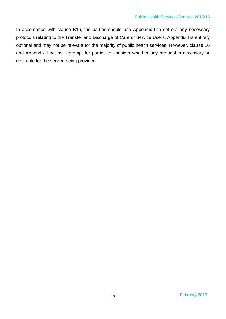In accordance with clause B16, the parties should use Appendix I to set out any necessary protocols relating to the Transfer and Discharge of Care of Service Users. Appendix I is entirely optional and may not be relevant for the majority of public health services. However, clause 16 and Appendix I act as a prompt for parties to consider whether any protocol is necessary or desirable for the service being provided.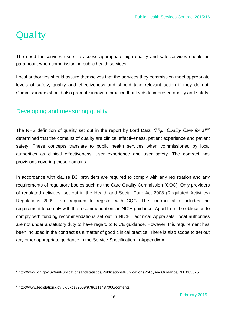# **Quality**

l

The need for services users to access appropriate high quality and safe services should be paramount when commissioning public health services.

Local authorities should assure themselves that the services they commission meet appropriate levels of safety, quality and effectiveness and should take relevant action if they do not. Commissioners should also promote innovate practice that leads to improved quality and safety.

#### Developing and measuring quality

The NHS definition of quality set out in the report by Lord Darzi *"High Quality Care for all"<sup>2</sup>* determined that the domains of quality are clinical effectiveness, patient experience and patient safety. These concepts translate to public health services when commissioned by local authorities as clinical effectiveness, user experience and user safety. The contract has provisions covering these domains.

In accordance with clause B3, providers are required to comply with any registration and any requirements of regulatory bodies such as the Care Quality Commission (CQC). Only providers of regulated activities, set out in the Health and Social Care Act 2008 (Regulated Activities) Regulations 2009<sup>3</sup>, are required to register with CQC. The contract also includes the requirement to comply with the recommendations in NICE guidance. Apart from the obligation to comply with funding recommendations set out in NICE Technical Appraisals, local authorities are not under a statutory duty to have regard to NICE guidance. However, this requirement has been included in the contract as a matter of good clinical practice. There is also scope to set out any other appropriate guidance in the Service Specification in Appendix A.

<sup>&</sup>lt;sup>2</sup> http://www.dh.gov.uk/en/Publicationsandstatistics/Publications/PublicationsPolicyAndGuidance/DH\_085825

 $^3$  http://www.legislation.gov.uk/ukdsi/2009/9780111487006/contents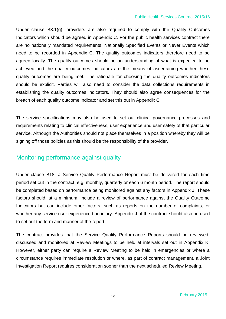#### Public Health Services Contract 2015/16

Under clause B3.1(g), providers are also required to comply with the Quality Outcomes Indicators which should be agreed in Appendix C. For the public health services contract there are no nationally mandated requirements, Nationally Specified Events or Never Events which need to be recorded in Appendix C. The quality outcomes indicators therefore need to be agreed locally. The quality outcomes should be an understanding of what is expected to be achieved and the quality outcomes indicators are the means of ascertaining whether these quality outcomes are being met. The rationale for choosing the quality outcomes indicators should be explicit. Parties will also need to consider the data collections requirements in establishing the quality outcomes indicators. They should also agree consequences for the breach of each quality outcome indicator and set this out in Appendix C.

The service specifications may also be used to set out clinical governance processes and requirements relating to clinical effectiveness, user experience and user safety of that particular service. Although the Authorities should not place themselves in a position whereby they will be signing off those policies as this should be the responsibility of the provider.

#### Monitoring performance against quality

Under clause B18, a Service Quality Performance Report must be delivered for each time period set out in the contract, e.g. monthly, quarterly or each 6 month period. The report should be completed based on performance being monitored against any factors in Appendix J. These factors should, at a minimum, include a review of performance against the Quality Outcome Indicators but can include other factors, such as reports on the number of complaints, or whether any service user experienced an injury. Appendix J of the contract should also be used to set out the form and manner of the report.

The contract provides that the Service Quality Performance Reports should be reviewed, discussed and monitored at Review Meetings to be held at intervals set out in Appendix K. However, either party can require a Review Meeting to be held in emergencies or where a circumstance requires immediate resolution or where, as part of contract management, a Joint Investigation Report requires consideration sooner than the next scheduled Review Meeting.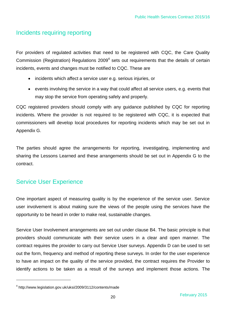#### Incidents requiring reporting

For providers of regulated activities that need to be registered with CQC, the Care Quality Commission (Registration) Regulations 2009<sup>4</sup> sets out requirements that the details of certain incidents, events and changes must be notified to CQC. These are

- incidents which affect a service user e.g. serious injuries, or
- events involving the service in a way that could affect all service users, e.g. events that may stop the service from operating safely and properly.

CQC registered providers should comply with any guidance published by CQC for reporting incidents. Where the provider is not required to be registered with CQC, it is expected that commissioners will develop local procedures for reporting incidents which may be set out in Appendix G.

The parties should agree the arrangements for reporting, investigating, implementing and sharing the Lessons Learned and these arrangements should be set out in Appendix G to the contract.

#### Service User Experience

l

One important aspect of measuring quality is by the experience of the service user. Service user involvement is about making sure the views of the people using the services have the opportunity to be heard in order to make real, sustainable changes.

Service User Involvement arrangements are set out under clause B4. The basic principle is that providers should communicate with their service users in a clear and open manner. The contract requires the provider to carry out Service User surveys. Appendix D can be used to set out the form, frequency and method of reporting these surveys. In order for the user experience to have an impact on the quality of the service provided, the contract requires the Provider to identify actions to be taken as a result of the surveys and implement those actions. The

<sup>4</sup> http://www.legislation.gov.uk/uksi/2009/3112/contents/made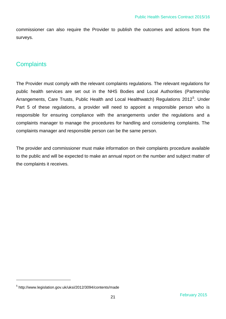commissioner can also require the Provider to publish the outcomes and actions from the surveys.

## **Complaints**

The Provider must comply with the relevant complaints regulations. The relevant regulations for public health services are set out in the NHS Bodies and Local Authorities (Partnership Arrangements, Care Trusts, Public Health and Local Healthwatch) Regulations 2012<sup>5</sup>. Under Part 5 of these regulations, a provider will need to appoint a responsible person who is responsible for ensuring compliance with the arrangements under the regulations and a complaints manager to manage the procedures for handling and considering complaints. The complaints manager and responsible person can be the same person.

The provider and commissioner must make information on their complaints procedure available to the public and will be expected to make an annual report on the number and subject matter of the complaints it receives.

l

<sup>&</sup>lt;sup>5</sup> http://www.legislation.gov.uk/uksi/2012/3094/contents/made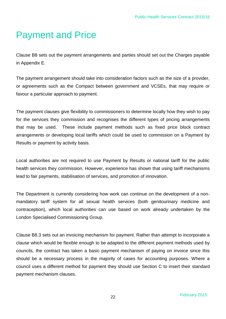# Payment and Price

Clause B8 sets out the payment arrangements and parties should set out the Charges payable in Appendix E.

The payment arrangement should take into consideration factors such as the size of a provider, or agreements such as the Compact between government and VCSEs, that may require or favour a particular approach to payment.

The payment clauses give flexibility to commissioners to determine locally how they wish to pay for the services they commission and recognises the different types of pricing arrangements that may be used. These include payment methods such as fixed price block contract arrangements or developing local tariffs which could be used to commission on a Payment by Results or payment by activity basis.

Local authorities are not required to use Payment by Results or national tariff for the public health services they commission. However, experience has shown that using tariff mechanisms lead to fair payments, stabilisation of services, and promotion of innovation.

The Department is currently considering how work can continue on the development of a nonmandatory tariff system for all sexual health services (both genitourinary medicine and contraception), which local authorities can use based on work already undertaken by the London Specialised Commissioning Group.

Clause B8.3 sets out an invoicing mechanism for payment. Rather than attempt to incorporate a clause which would be flexible enough to be adapted to the different payment methods used by councils, the contract has taken a basic payment mechanism of paying on invoice since this should be a necessary process in the majority of cases for accounting purposes. Where a council uses a different method for payment they should use Section C to insert their standard payment mechanism clauses.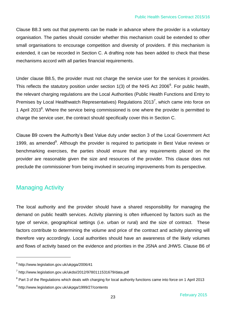Clause B8.3 sets out that payments can be made in advance where the provider is a voluntary organisation. The parties should consider whether this mechanism could be extended to other small organisations to encourage competition and diversity of providers. If this mechanism is extended, it can be recorded in Section C. A drafting note has been added to check that these mechanisms accord with all parties financial requirements.

Under clause B8.5, the provider must not charge the service user for the services it provides. This reflects the statutory position under section 1(3) of the NHS Act 2006<sup>6</sup>. For public health, the relevant charging regulations are the Local Authorities (Public Health Functions and Entry to Premises by Local Healthwatch Representatives) Regulations 2013<sup>7</sup>, which came into force on 1 April 2013 $8$ . Where the service being commissioned is one where the provider is permitted to charge the service user, the contract should specifically cover this in Section C.

Clause B9 covers the Authority's Best Value duty under section 3 of the Local Government Act 1999, as amended $9$ . Although the provider is required to participate in Best Value reviews or benchmarking exercises, the parties should ensure that any requirements placed on the provider are reasonable given the size and resources of the provider. This clause does not preclude the commissioner from being involved in securing improvements from its perspective.

## Managing Activity

l

The local authority and the provider should have a shared responsibility for managing the demand on public health services. Activity planning is often influenced by factors such as the type of service, geographical settings (i.e. urban or rural) and the size of contract. These factors contribute to determining the volume and price of the contract and activity planning will therefore vary accordingly. Local authorities should have an awareness of the likely volumes and flows of activity based on the evidence and priorities in the JSNA and JHWS. Clause B6 of

<sup>6</sup> http://www.legislation.gov.uk/ukpga/2006/41

 $^7$  http://www.legislation.gov.uk/ukdsi/2012/9780111531679/data.pdf

<sup>&</sup>lt;sup>8</sup> Part 3 of the Regulations which deals with charging for local authority functions came into force on 1 April 2013

<sup>&</sup>lt;sup>9</sup> http://www.legislation.gov.uk/ukpga/1999/27/contents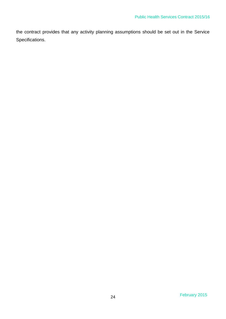the contract provides that any activity planning assumptions should be set out in the Service Specifications.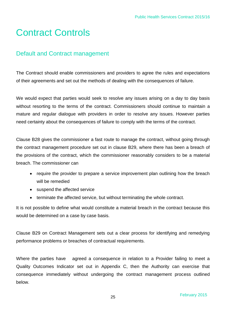# Contract Controls

#### Default and Contract management

The Contract should enable commissioners and providers to agree the rules and expectations of their agreements and set out the methods of dealing with the consequences of failure.

We would expect that parties would seek to resolve any issues arising on a day to day basis without resorting to the terms of the contract. Commissioners should continue to maintain a mature and regular dialogue with providers in order to resolve any issues. However parties need certainty about the consequences of failure to comply with the terms of the contract.

Clause B28 gives the commissioner a fast route to manage the contract, without going through the contract management procedure set out in clause B29, where there has been a breach of the provisions of the contract, which the commissioner reasonably considers to be a material breach. The commissioner can

- require the provider to prepare a service improvement plan outlining how the breach will be remedied
- suspend the affected service
- terminate the affected service, but without terminating the whole contract.

It is not possible to define what would constitute a material breach in the contract because this would be determined on a case by case basis.

Clause B29 on Contract Management sets out a clear process for identifying and remedying performance problems or breaches of contractual requirements.

Where the parties have agreed a consequence in relation to a Provider failing to meet a Quality Outcomes Indicator set out in Appendix C, then the Authority can exercise that consequence immediately without undergoing the contract management process outlined below.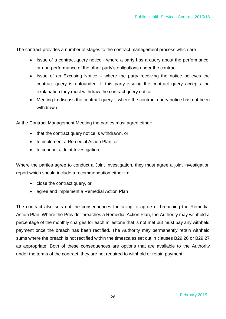The contract provides a number of stages to the contract management process which are

- Issue of a contract query notice where a party has a query about the performance, or non-performance of the other party's obligations under the contract
- $\bullet$  Issue of an Excusing Notice where the party receiving the notice believes the contract query is unfounded. If this party issuing the contract query accepts the explanation they must withdraw the contract query notice
- Meeting to discuss the contract query where the contract query notice has not been withdrawn.

At the Contract Management Meeting the parties must agree either:

- that the contract query notice is withdrawn, or
- to implement a Remedial Action Plan, or
- to conduct a Joint Investigation

Where the parties agree to conduct a Joint Investigation, they must agree a joint investigation report which should include a recommendation either to:

- close the contract query, or
- agree and implement a Remedial Action Plan

The contract also sets out the consequences for failing to agree or breaching the Remedial Action Plan. Where the Provider breaches a Remedial Action Plan, the Authority may withhold a percentage of the monthly charges for each milestone that is not met but must pay any withheld payment once the breach has been rectified. The Authority may permanently retain withheld sums where the breach is not rectified within the timescales set out in clauses B29.26 or B29.27 as appropriate. Both of these consequences are options that are available to the Authority under the terms of the contract, they are not required to withhold or retain payment.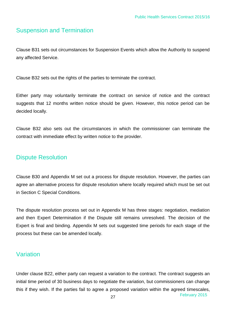## Suspension and Termination

Clause B31 sets out circumstances for Suspension Events which allow the Authority to suspend any affected Service.

Clause B32 sets out the rights of the parties to terminate the contract.

Either party may voluntarily terminate the contract on service of notice and the contract suggests that 12 months written notice should be given. However, this notice period can be decided locally.

Clause B32 also sets out the circumstances in which the commissioner can terminate the contract with immediate effect by written notice to the provider.

#### Dispute Resolution

Clause B30 and Appendix M set out a process for dispute resolution. However, the parties can agree an alternative process for dispute resolution where locally required which must be set out in Section C Special Conditions.

The dispute resolution process set out in Appendix M has three stages: negotiation, mediation and then Expert Determination if the Dispute still remains unresolved. The decision of the Expert is final and binding. Appendix M sets out suggested time periods for each stage of the process but these can be amended locally.

#### Variation

Under clause B22, either party can request a variation to the contract. The contract suggests an initial time period of 30 business days to negotiate the variation, but commissioners can change this if they wish. If the parties fail to agree a proposed variation within the agreed timescales,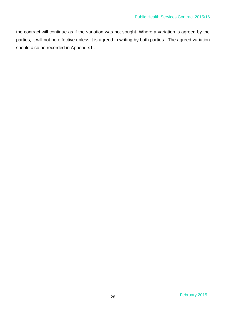the contract will continue as if the variation was not sought**.** Where a variation is agreed by the parties, it will not be effective unless it is agreed in writing by both parties. The agreed variation should also be recorded in Appendix L.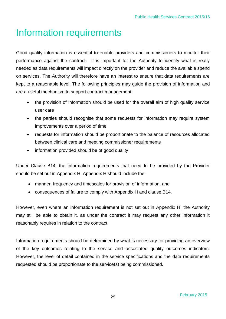## Information requirements

Good quality information is essential to enable providers and commissioners to monitor their performance against the contract. It is important for the Authority to identify what is really needed as data requirements will impact directly on the provider and reduce the available spend on services. The Authority will therefore have an interest to ensure that data requirements are kept to a reasonable level. The following principles may guide the provision of information and are a useful mechanism to support contract management:

- the provision of information should be used for the overall aim of high quality service user care
- the parties should recognise that some requests for information may require system improvements over a period of time
- requests for information should be proportionate to the balance of resources allocated between clinical care and meeting commissioner requirements
- information provided should be of good quality

Under Clause B14, the information requirements that need to be provided by the Provider should be set out in Appendix H. Appendix H should include the:

- manner, frequency and timescales for provision of information, and
- consequences of failure to comply with Appendix H and clause B14.

However, even where an information requirement is not set out in Appendix H, the Authority may still be able to obtain it, as under the contract it may request any other information it reasonably requires in relation to the contract.

Information requirements should be determined by what is necessary for providing an overview of the key outcomes relating to the service and associated quality outcomes indicators. However, the level of detail contained in the service specifications and the data requirements requested should be proportionate to the service(s) being commissioned.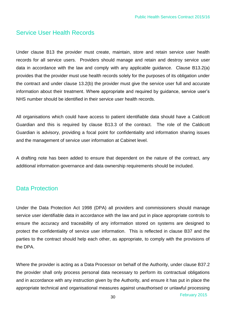#### Service User Health Records

Under clause B13 the provider must create, maintain, store and retain service user health records for all service users. Providers should manage and retain and destroy service user data in accordance with the law and comply with any applicable guidance. Clause B13.2(a) provides that the provider must use health records solely for the purposes of its obligation under the contract and under clause 13.2(b) the provider must give the service user full and accurate information about their treatment. Where appropriate and required by guidance, service user's NHS number should be identified in their service user health records.

All organisations which could have access to patient identifiable data should have a Caldicott Guardian and this is required by clause B13.3 of the contract. The role of the Caldicott Guardian is advisory, providing a focal point for confidentiality and information sharing issues and the management of service user information at Cabinet level.

A drafting note has been added to ensure that dependent on the nature of the contract, any additional information governance and data ownership requirements should be included.

#### Data Protection

Under the Data Protection Act 1998 (DPA) all providers and commissioners should manage service user identifiable data in accordance with the law and put in place appropriate controls to ensure the accuracy and traceability of any information stored on systems are designed to protect the confidentiality of service user information. This is reflected in clause B37 and the parties to the contract should help each other, as appropriate, to comply with the provisions of the DPA.

Where the provider is acting as a Data Processor on behalf of the Authority, under clause B37.2 the provider shall only process personal data necessary to perform its contractual obligations and in accordance with any instruction given by the Authority, and ensure it has put in place the appropriate technical and organisational measures against unauthorised or unlawful processing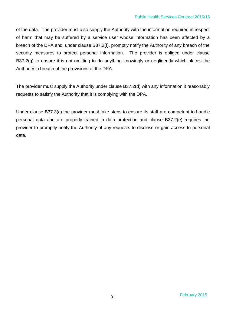of the data. The provider must also supply the Authority with the information required in respect of harm that may be suffered by a service user whose information has been affected by a breach of the DPA and, under clause B37.2(f), promptly notify the Authority of any breach of the security measures to protect personal information. The provider is obliged under clause B37.2(g) to ensure it is not omitting to do anything knowingly or negligently which places the Authority in breach of the provisions of the DPA.

The provider must supply the Authority under clause B37.2(d) with any information it reasonably requests to satisfy the Authority that it is complying with the DPA.

Under clause B37.3(c) the provider must take steps to ensure its staff are competent to handle personal data and are properly trained in data protection and clause B37.2(e) requires the provider to promptly notify the Authority of any requests to disclose or gain access to personal data.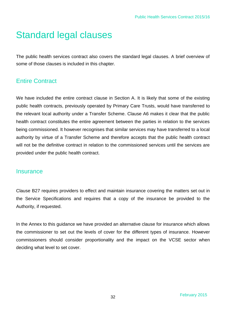# Standard legal clauses

The public health services contract also covers the standard legal clauses. A brief overview of some of those clauses is included in this chapter.

#### Entire Contract

We have included the entire contract clause in Section A. It is likely that some of the existing public health contracts, previously operated by Primary Care Trusts, would have transferred to the relevant local authority under a Transfer Scheme. Clause A6 makes it clear that the public health contract constitutes the entire agreement between the parties in relation to the services being commissioned. It however recognises that similar services may have transferred to a local authority by virtue of a Transfer Scheme and therefore accepts that the public health contract will not be the definitive contract in relation to the commissioned services until the services are provided under the public health contract.

#### **Insurance**

Clause B27 requires providers to effect and maintain insurance covering the matters set out in the Service Specifications and requires that a copy of the insurance be provided to the Authority, if requested.

In the Annex to this guidance we have provided an alternative clause for insurance which allows the commissioner to set out the levels of cover for the different types of insurance. However commissioners should consider proportionality and the impact on the VCSE sector when deciding what level to set cover.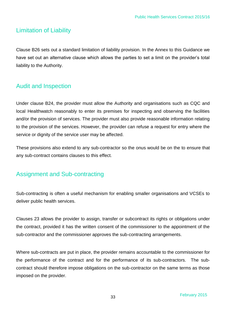#### Limitation of Liability

Clause B26 sets out a standard limitation of liability provision. In the Annex to this Guidance we have set out an alternative clause which allows the parties to set a limit on the provider's total liability to the Authority.

#### Audit and Inspection

Under clause B24, the provider must allow the Authority and organisations such as CQC and local Healthwatch reasonably to enter its premises for inspecting and observing the facilities and/or the provision of services. The provider must also provide reasonable information relating to the provision of the services. However, the provider can refuse a request for entry where the service or dignity of the service user may be affected.

These provisions also extend to any sub-contractor so the onus would be on the to ensure that any sub-contract contains clauses to this effect.

#### Assignment and Sub-contracting

Sub-contracting is often a useful mechanism for enabling smaller organisations and VCSEs to deliver public health services.

Clauses 23 allows the provider to assign, transfer or subcontract its rights or obligations under the contract, provided it has the written consent of the commissioner to the appointment of the sub-contractor and the commissioner approves the sub-contracting arrangements.

Where sub-contracts are put in place, the provider remains accountable to the commissioner for the performance of the contract and for the performance of its sub-contractors. The subcontract should therefore impose obligations on the sub-contractor on the same terms as those imposed on the provider.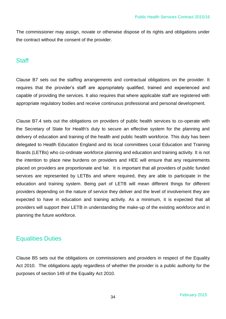The commissioner may assign, novate or otherwise dispose of its rights and obligations under the contract without the consent of the provider.

#### **Staff**

Clause B7 sets out the staffing arrangements and contractual obligations on the provider. It requires that the provider's staff are appropriately qualified, trained and experienced and capable of providing the services. It also requires that where applicable staff are registered with appropriate regulatory bodies and receive continuous professional and personal development.

Clause B7.4 sets out the obligations on providers of public health services to co-operate with the Secretary of State for Health's duty to secure an effective system for the planning and delivery of education and training of the health and public health workforce. This duty has been delegated to Health Education England and its local committees Local Education and Training Boards (LETBs) who co-ordinate workforce planning and education and training activity. It is not the intention to place new burdens on providers and HEE will ensure that any requirements placed on providers are proportionate and fair. It is important that all providers of public funded services are represented by LETBs and where required, they are able to participate in the education and training system. Being part of LETB will mean different things for different providers depending on the nature of service they deliver and the level of involvement they are expected to have in education and training activity. As a minimum, it is expected that all providers will support their LETB in understanding the make-up of the existing workforce and in planning the future workforce.

#### Equalities Duties

Clause B5 sets out the obligations on commissioners and providers in respect of the Equality Act 2010. The obligations apply regardless of whether the provider is a public authority for the purposes of section 149 of the Equality Act 2010.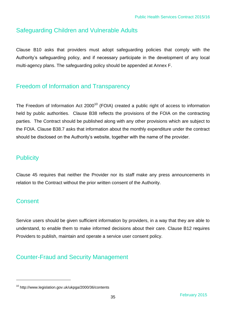## Safeguarding Children and Vulnerable Adults

Clause B10 asks that providers must adopt safeguarding policies that comply with the Authority's safeguarding policy, and if necessary participate in the development of any local multi-agency plans. The safeguarding policy should be appended at Annex F.

## Freedom of Information and Transparency

The Freedom of Information Act  $2000^{10}$  (FOIA) created a public right of access to information held by public authorities. Clause B38 reflects the provisions of the FOIA on the contracting parties. The Contract should be published along with any other provisions which are subject to the FOIA. Clause B38.7 asks that information about the monthly expenditure under the contract should be disclosed on the Authority's website, together with the name of the provider.

#### **Publicity**

Clause 45 requires that neither the Provider nor its staff make any press announcements in relation to the Contract without the prior written consent of the Authority.

#### **Consent**

l

Service users should be given sufficient information by providers, in a way that they are able to understand, to enable them to make informed decisions about their care. Clause B12 requires Providers to publish, maintain and operate a service user consent policy.

## Counter-Fraud and Security Management

<sup>&</sup>lt;sup>10</sup> http://www.legislation.gov.uk/ukpga/2000/36/contents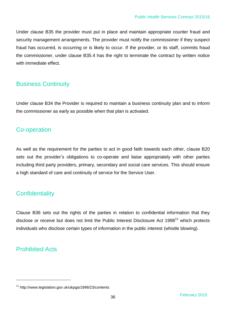Under clause B35 the provider must put in place and maintain appropriate counter fraud and security management arrangements. The provider must notify the commissioner if they suspect fraud has occurred, is occurring or is likely to occur. If the provider, or its staff, commits fraud the commissioner, under clause B35.4 has the right to terminate the contract by written notice with immediate effect.

#### Business Continuity

Under clause B34 the Provider is required to maintain a business continuity plan and to inform the commissioner as early as possible when that plan is activated.

#### Co-operation

As well as the requirement for the parties to act in good faith towards each other, clause B20 sets out the provider's obligations to co-operate and liaise appropriately with other parties including third party providers, primary, secondary and social care services. This should ensure a high standard of care and continuity of service for the Service User.

## **Confidentiality**

Clause B36 sets out the rights of the parties in relation to confidential information that they disclose or receive but does not limit the Public Interest Disclosure Act 1998<sup>11</sup> which protects individuals who disclose certain types of information in the public interest (whistle blowing).

## Prohibited Acts

l

<sup>&</sup>lt;sup>11</sup> http://www.legislation.gov.uk/ukpga/1998/23/contents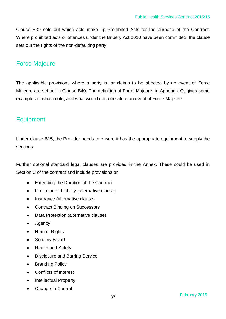Clause B39 sets out which acts make up Prohibited Acts for the purpose of the Contract. Where prohibited acts or offences under the Bribery Act 2010 have been committed, the clause sets out the rights of the non-defaulting party.

#### Force Majeure

The applicable provisions where a party is, or claims to be affected by an event of Force Majeure are set out in Clause B40. The definition of Force Majeure, in Appendix O, gives some examples of what could, and what would not, constitute an event of Force Majeure.

## **Equipment**

Under clause B15, the Provider needs to ensure it has the appropriate equipment to supply the services.

Further optional standard legal clauses are provided in the Annex. These could be used in Section C of the contract and include provisions on

- Extending the Duration of the Contract
- Limitation of Liability (alternative clause)
- Insurance (alternative clause)
- Contract Binding on Successors
- Data Protection (alternative clause)
- Agency
- Human Rights
- Scrutiny Board
- Health and Safety
- Disclosure and Barring Service
- Branding Policy
- Conflicts of Interest
- Intellectual Property
- Change In Control